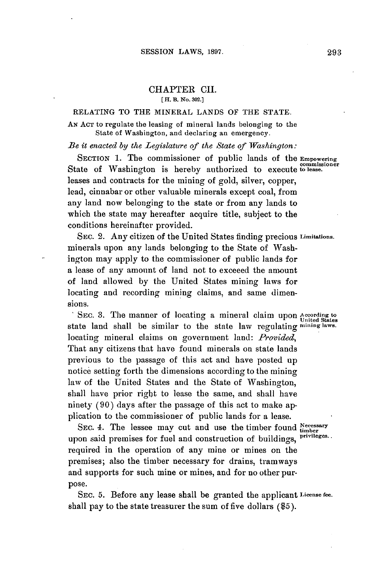## CHAPTER CII. **[H. 13. No. 302.]**

## RELATING TO THE MINERAL **LANDS** OF THE **STATE.**

**AN ACT** to regulate the leasing of mineral lands belonging to the State of Washington, and declaring an emergency.

*Be it enacted by the Legislature of the State of Washington:*

**SECTION 1.** The commissioner of public lands of the **Empowering** State of Washington is hereby authorized to execute to lease. leases and contracts for the mining of gold, silver, copper, lead, cinnabar or other valuable minerals except coal, from any land now belonging to the state or from any lands to which the state may hereafter acquire title, subject to the conditions hereinafter provided.

SEC. 2. Any citizen of the United States finding precious **Limitations.** minerals upon any lands belonging to the State of Washington may apply to the commissioner of public lands for a lease of any amount of land not to exceeed the amount of land allowed **by** the United States mining laws for locating and recording mining claims, and same dimensions.

SEC. **3.** The manner of locating a mineral claim upon **According to** <sup>0</sup>**United States** state land shall be similar to the state law regulating **mining laws.** locating mineral claims on government land: *Provided,* That any citizens that have found minerals on state lands previous to the passage of this act and have posted up notice setting forth the dimensions according to the mining law of the United States and the State of Washington, shall have prior right to lease the same, and shall have ninety **(90)** days after the passage of this act to make application to the commissioner of public lands for a lease.

SEC. 4. The lessee may cut and use the timber found **the instance of the UK** upon said premises for fuel and construction of buildings, <sup>pri</sup> required in the operation of any mine or mines on the premises; also the timber necessary for drains, tramways and supports for such mine or mines, and for no other purpose.

SEC. **5.** Before any lease shall be granted the applicant **License fee.** shall pay to the state treasurer the sum of five dollars **(\$5).**